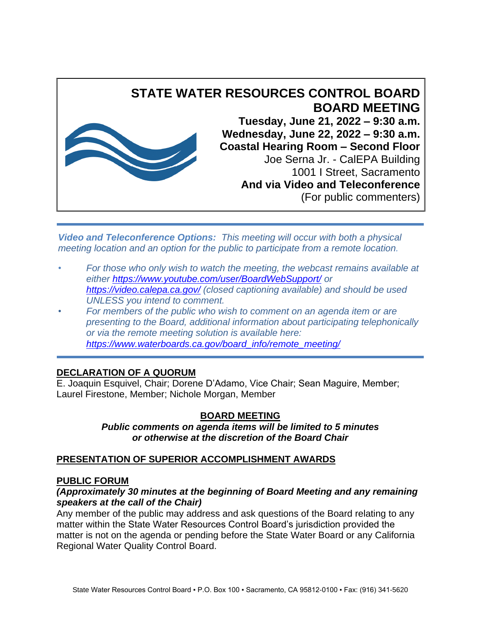

Joe Serna Jr. - CalEPA Building 1001 I Street, Sacramento **And via Video and Teleconference** (For public commenters)

*Video and Teleconference Options: This meeting will occur with both a physical meeting location and an option for the public to participate from a remote location.*

- *• For those who only wish to watch the meeting, the webcast remains available at either<https://www.youtube.com/user/BoardWebSupport/> or <https://video.calepa.ca.gov/> (closed captioning available) and should be used UNLESS you intend to comment.*
- *• For members of the public who wish to comment on an agenda item or are presenting to the Board, additional information about participating telephonically or via the remote meeting solution is available here: [https://www.waterboards.ca.gov/board\\_info/remote\\_meeting/](https://www.waterboards.ca.gov/board_info/remote_meeting/)*

## **DECLARATION OF A QUORUM**

E. Joaquin Esquivel, Chair; Dorene D'Adamo, Vice Chair; Sean Maguire, Member; Laurel Firestone, Member; Nichole Morgan, Member

# **BOARD MEETING**

*Public comments on agenda items will be limited to 5 minutes or otherwise at the discretion of the Board Chair*

# **PRESENTATION OF SUPERIOR ACCOMPLISHMENT AWARDS**

## **PUBLIC FORUM**

#### *(Approximately 30 minutes at the beginning of Board Meeting and any remaining speakers at the call of the Chair)*

Any member of the public may address and ask questions of the Board relating to any matter within the State Water Resources Control Board's jurisdiction provided the matter is not on the agenda or pending before the State Water Board or any California Regional Water Quality Control Board.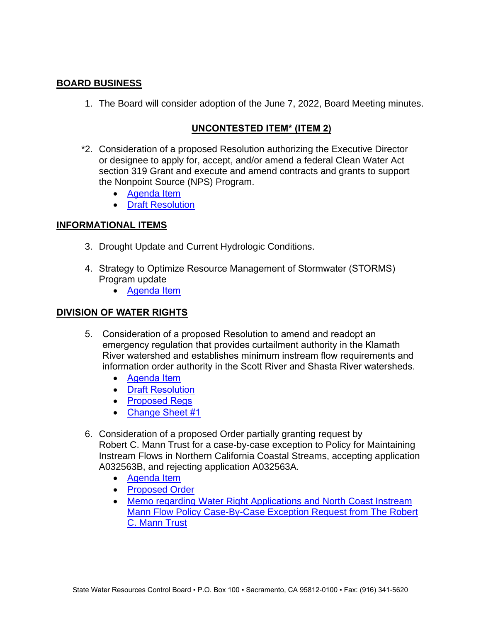## **BOARD BUSINESS**

1. The Board will consider adoption of the June 7, 2022, Board Meeting minutes.

## **UNCONTESTED ITEM\* (ITEM 2)**

- \*2. Consideration of a proposed Resolution authorizing the Executive Director or designee to apply for, accept, and/or amend a federal Clean Water Act section 319 Grant and execute and amend contracts and grants to support the Nonpoint Source (NPS) Program.
	- [Agenda Item](https://www.waterboards.ca.gov/board_info/agendas/2022/jun/062122_2.pdf)
	- [Draft Resolution](https://www.waterboards.ca.gov/board_info/agendas/2022/jun/062122_2_drftreso.pdf)

#### **INFORMATIONAL ITEMS**

- 3. Drought Update and Current Hydrologic Conditions.
- 4. Strategy to Optimize Resource Management of Stormwater (STORMS) Program update
	- [Agenda Item](https://www.waterboards.ca.gov/board_info/agendas/2022/jun/062122_4.pdf)

#### **DIVISION OF WATER RIGHTS**

- 5. Consideration of a proposed Resolution to amend and readopt an emergency regulation that provides curtailment authority in the Klamath River watershed and establishes minimum instream flow requirements and information order authority in the Scott River and Shasta River watersheds.
	- [Agenda Item](https://www.waterboards.ca.gov/board_info/agendas/2022/jun/062122_5.pdf)
	- **[Draft Resolution](https://www.waterboards.ca.gov/board_info/agendas/2022/jun/062122_5_drftreso.pdf)**
	- [Proposed Regs](https://www.waterboards.ca.gov/board_info/agendas/2022/jun/062122_5_proposedregs.pdf)
	- [Change Sheet #1](https://www.waterboards.ca.gov/board_info/agendas/2022/jun/062122_5_cs1.docx)
- 6. Consideration of a proposed Order partially granting request by Robert C. Mann Trust for a case-by-case exception to Policy for Maintaining Instream Flows in Northern California Coastal Streams, accepting application A032563B, and rejecting application A032563A.
	- [Agenda Item](https://www.waterboards.ca.gov/board_info/agendas/2022/jun/062122_6.pdf)
	- [Proposed Order](https://www.waterboards.ca.gov/board_info/agendas/2022/jun/062122_6_proposedorder.pdf)
	- Memo regarding Water Right Applications and North Coast Instream [Mann Flow Policy Case-By-Case Exception Request from The Robert](https://www.waterboards.ca.gov/board_info/agendas/2022/jun/062122_6_stffmemo.pdf)  [C. Mann Trust](https://www.waterboards.ca.gov/board_info/agendas/2022/jun/062122_6_stffmemo.pdf)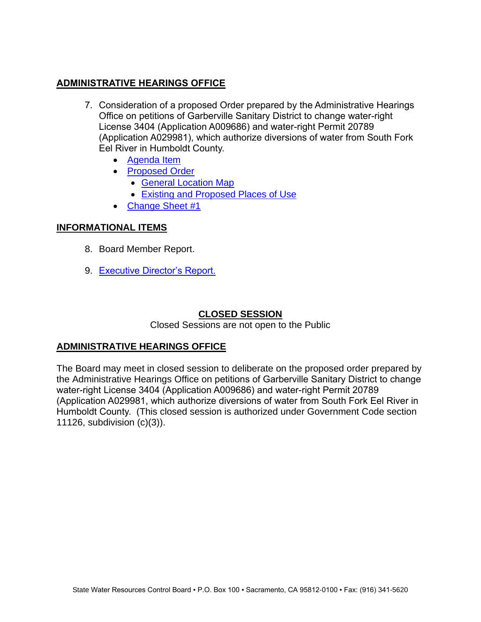## **ADMINISTRATIVE HEARINGS OFFICE**

- 7. Consideration of a proposed Order prepared by the Administrative Hearings Office on petitions of Garberville Sanitary District to change water-right License 3404 (Application A009686) and water-right Permit 20789 (Application A029981), which authorize diversions of water from South Fork Eel River in Humboldt County.
	- [Agenda Item](https://www.waterboards.ca.gov/board_info/agendas/2022/jun/062122_7.pdf)
	- [Proposed](https://www.waterboards.ca.gov/board_info/agendas/2022/jun/062122_7_proposedorder.pdf) Order
		- [General Location Map](https://www.waterboards.ca.gov/board_info/agendas/2022/jun/062122_7_general_locationmap_fig1.pdf)
		- [Existing and Proposed Places of Use](https://www.waterboards.ca.gov/board_info/agendas/2022/jun/062122_7_existing_proposedplacesofuse_fig2.pdf)
	- [Change Sheet #1](https://www.waterboards.ca.gov/board_info/agendas/2022/jun/062122_7_cs1.pdf)

## **INFORMATIONAL ITEMS**

- 8. Board Member Report.
- 9. [Executive Director's Report.](https://www.waterboards.ca.gov/board_info/agendas/2022/jun/062122_9_edrpt.pdf)

## **CLOSED SESSION**

Closed Sessions are not open to the Public

## **ADMINISTRATIVE HEARINGS OFFICE**

The Board may meet in closed session to deliberate on the proposed order prepared by the Administrative Hearings Office on petitions of Garberville Sanitary District to change water-right License 3404 (Application A009686) and water-right Permit 20789 (Application A029981, which authorize diversions of water from South Fork Eel River in Humboldt County. (This closed session is authorized under Government Code section 11126, subdivision (c)(3)).